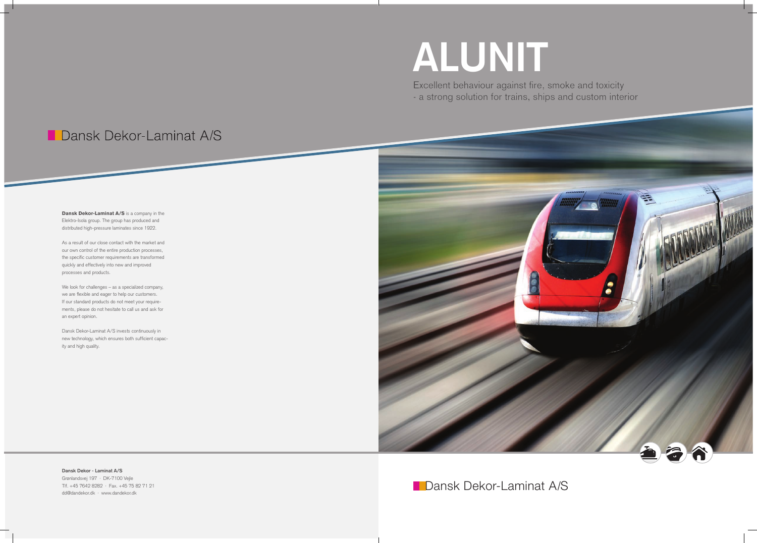# **ALUNIT**

Excellent behaviour against fire, smoke and toxicity - a strong solution for trains, ships and custom interior

## Dansk Dekor-Laminat A/S

**Dansk Dekor-Laminat A/S** is a company in the Elektro-Isola group. The group has produced and distributed high-pressure laminates since 1922.

As a result of our close contact with the market and our own control of the entire production processes, the specific customer requirements are transformed quickly and effectively into new and improved processes and products.

We look for challenges – as a specialized company, we are flexible and eager to help our customers. If our standard products do not meet your requirements, please do not hesitate to call us and ask for an expert opinion.

Dansk Dekor-Laminat A/S invests continuously in new technology, which ensures both sufficient capacity and high quality.



**Dansk Dekor - Laminat A/S** Grønlandsvej 197 · DK-7100 Vejle Tlf. +45 7642 8282 · Fax. +45 75 82 71 21 dd@dandekor.dk · www.dandekor.dk

### **Dansk Dekor-Laminat A/S**